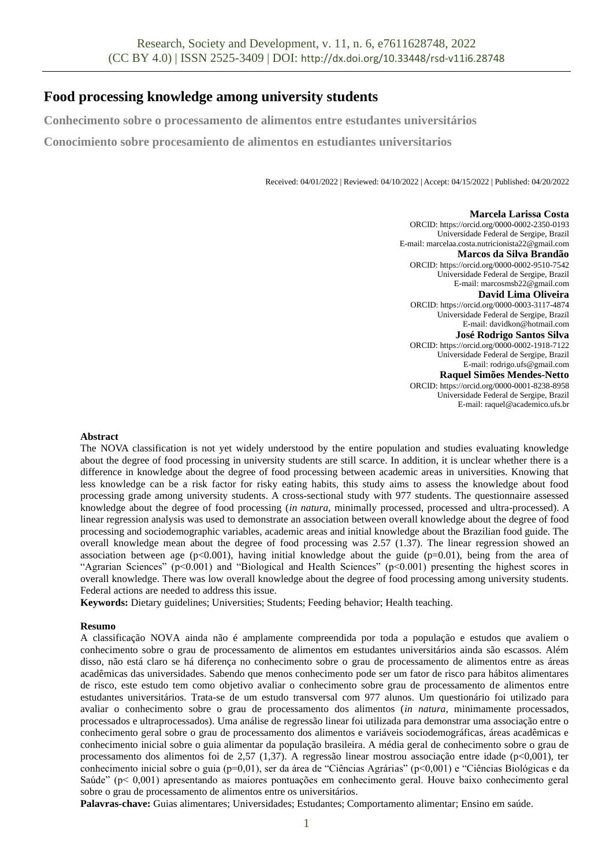# **Food processing knowledge among university students**

**Conhecimento sobre o processamento de alimentos entre estudantes universitários** 

**Conocimiento sobre procesamiento de alimentos en estudiantes universitarios**

Received: 04/01/2022 | Reviewed: 04/10/2022 | Accept: 04/15/2022 | Published: 04/20/2022

**Marcela Larissa Costa** ORCID: https://orcid.org/0000-0002-2350-0193 Universidade Federal de Sergipe, Brazil E-mail: marcelaa.costa.nutricionista22@gmail.com **Marcos da Silva Brandão** ORCID: https://orcid.org/0000-0002-9510-7542 Universidade Federal de Sergipe, Brazil E-mail: marcosmsb22@gmail.com **David Lima Oliveira** ORCID: https://orcid.org/0000-0003-3117-4874 Universidade Federal de Sergipe, Brazil E-mail: davidkon@hotmail.com **José Rodrigo Santos Silva** ORCID: https://orcid.org/0000-0002-1918-7122 Universidade Federal de Sergipe, Brazil E-mail: rodrigo.ufs@gmail.com **Raquel Simões Mendes-Netto** ORCID: https://orcid.org/0000-0001-8238-8958 Universidade Federal de Sergipe, Brazil E-mail: raquel@academico.ufs.br

# **Abstract**

The NOVA classification is not yet widely understood by the entire population and studies evaluating knowledge about the degree of food processing in university students are still scarce. In addition, it is unclear whether there is a difference in knowledge about the degree of food processing between academic areas in universities. Knowing that less knowledge can be a risk factor for risky eating habits, this study aims to assess the knowledge about food processing grade among university students. A cross-sectional study with 977 students. The questionnaire assessed knowledge about the degree of food processing (*in natura*, minimally processed, processed and ultra-processed). A linear regression analysis was used to demonstrate an association between overall knowledge about the degree of food processing and sociodemographic variables, academic areas and initial knowledge about the Brazilian food guide. The overall knowledge mean about the degree of food processing was 2.57 (1.37). The linear regression showed an association between age ( $p<0.001$ ), having initial knowledge about the guide ( $p=0.01$ ), being from the area of "Agrarian Sciences" (p<0.001) and "Biological and Health Sciences" (p<0.001) presenting the highest scores in overall knowledge. There was low overall knowledge about the degree of food processing among university students. Federal actions are needed to address this issue.

**Keywords:** Dietary guidelines; Universities; Students; Feeding behavior; Health teaching.

## **Resumo**

A classificação NOVA ainda não é amplamente compreendida por toda a população e estudos que avaliem o conhecimento sobre o grau de processamento de alimentos em estudantes universitários ainda são escassos. Além disso, não está claro se há diferença no conhecimento sobre o grau de processamento de alimentos entre as áreas acadêmicas das universidades. Sabendo que menos conhecimento pode ser um fator de risco para hábitos alimentares de risco, este estudo tem como objetivo avaliar o conhecimento sobre grau de processamento de alimentos entre estudantes universitários. Trata-se de um estudo transversal com 977 alunos. Um questionário foi utilizado para avaliar o conhecimento sobre o grau de processamento dos alimentos (*in natura*, minimamente processados, processados e ultraprocessados). Uma análise de regressão linear foi utilizada para demonstrar uma associação entre o conhecimento geral sobre o grau de processamento dos alimentos e variáveis sociodemográficas, áreas acadêmicas e conhecimento inicial sobre o guia alimentar da população brasileira. A média geral de conhecimento sobre o grau de processamento dos alimentos foi de 2,57 (1,37). A regressão linear mostrou associação entre idade (p<0,001), ter conhecimento inicial sobre o guia (p=0,01), ser da área de "Ciências Agrárias" (p<0,001) e "Ciências Biológicas e da Saúde" (p< 0,001) apresentando as maiores pontuações em conhecimento geral. Houve baixo conhecimento geral sobre o grau de processamento de alimentos entre os universitários.

**Palavras-chave:** Guias alimentares; Universidades; Estudantes; Comportamento alimentar; Ensino em saúde.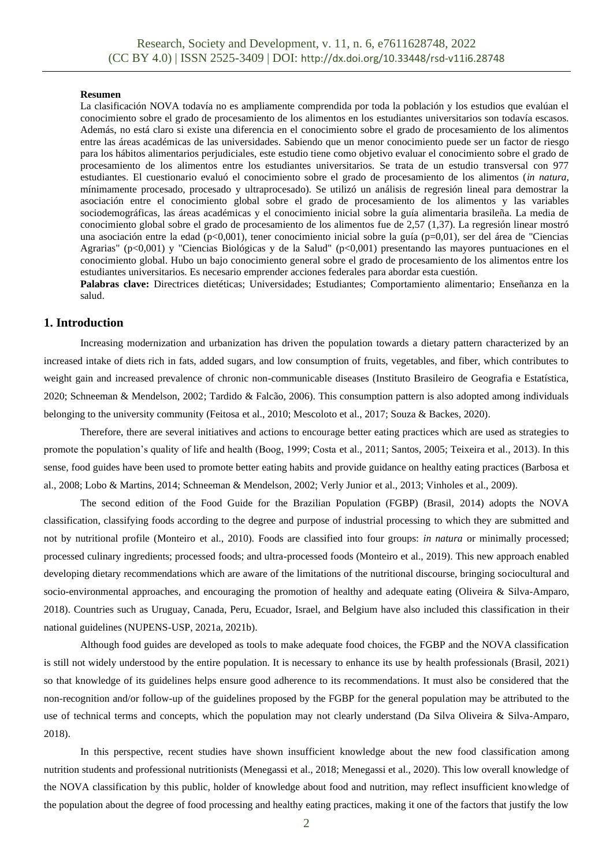#### **Resumen**

La clasificación NOVA todavía no es ampliamente comprendida por toda la población y los estudios que evalúan el conocimiento sobre el grado de procesamiento de los alimentos en los estudiantes universitarios son todavía escasos. Además, no está claro si existe una diferencia en el conocimiento sobre el grado de procesamiento de los alimentos entre las áreas académicas de las universidades. Sabiendo que un menor conocimiento puede ser un factor de riesgo para los hábitos alimentarios perjudiciales, este estudio tiene como objetivo evaluar el conocimiento sobre el grado de procesamiento de los alimentos entre los estudiantes universitarios. Se trata de un estudio transversal con 977 estudiantes. El cuestionario evaluó el conocimiento sobre el grado de procesamiento de los alimentos (*in natura*, mínimamente procesado, procesado y ultraprocesado). Se utilizó un análisis de regresión lineal para demostrar la asociación entre el conocimiento global sobre el grado de procesamiento de los alimentos y las variables sociodemográficas, las áreas académicas y el conocimiento inicial sobre la guía alimentaria brasileña. La media de conocimiento global sobre el grado de procesamiento de los alimentos fue de 2,57 (1,37). La regresión linear mostró una asociación entre la edad (p<0,001), tener conocimiento inicial sobre la guía (p=0,01), ser del área de "Ciencias Agrarias" (p<0,001) y "Ciencias Biológicas y de la Salud" (p<0,001) presentando las mayores puntuaciones en el conocimiento global. Hubo un bajo conocimiento general sobre el grado de procesamiento de los alimentos entre los estudiantes universitarios. Es necesario emprender acciones federales para abordar esta cuestión.

**Palabras clave:** Directrices dietéticas; Universidades; Estudiantes; Comportamiento alimentario; Enseñanza en la salud.

# **1. Introduction**

Increasing modernization and urbanization has driven the population towards a dietary pattern characterized by an increased intake of diets rich in fats, added sugars, and low consumption of fruits, vegetables, and fiber, which contributes to weight gain and increased prevalence of chronic non-communicable diseases (Instituto Brasileiro de Geografia e Estatística, 2020; Schneeman & Mendelson, 2002; Tardido & Falcão, 2006). This consumption pattern is also adopted among individuals belonging to the university community (Feitosa et al., 2010; Mescoloto et al., 2017; Souza & Backes, 2020).

Therefore, there are several initiatives and actions to encourage better eating practices which are used as strategies to promote the population's quality of life and health (Boog, 1999; Costa et al., 2011; Santos, 2005; Teixeira et al., 2013). In this sense, food guides have been used to promote better eating habits and provide guidance on healthy eating practices (Barbosa et al., 2008; Lobo & Martins, 2014; Schneeman & Mendelson, 2002; Verly Junior et al., 2013; Vinholes et al., 2009).

The second edition of the Food Guide for the Brazilian Population (FGBP) (Brasil, 2014) adopts the NOVA classification, classifying foods according to the degree and purpose of industrial processing to which they are submitted and not by nutritional profile (Monteiro et al., 2010). Foods are classified into four groups: *in natura* or minimally processed; processed culinary ingredients; processed foods; and ultra-processed foods (Monteiro et al., 2019). This new approach enabled developing dietary recommendations which are aware of the limitations of the nutritional discourse, bringing sociocultural and socio-environmental approaches, and encouraging the promotion of healthy and adequate eating (Oliveira & Silva-Amparo, 2018). Countries such as Uruguay, Canada, Peru, Ecuador, Israel, and Belgium have also included this classification in their national guidelines (NUPENS-USP, 2021a, 2021b).

Although food guides are developed as tools to make adequate food choices, the FGBP and the NOVA classification is still not widely understood by the entire population. It is necessary to enhance its use by health professionals (Brasil, 2021) so that knowledge of its guidelines helps ensure good adherence to its recommendations. It must also be considered that the non-recognition and/or follow-up of the guidelines proposed by the FGBP for the general population may be attributed to the use of technical terms and concepts, which the population may not clearly understand (Da Silva Oliveira & Silva-Amparo, 2018).

In this perspective, recent studies have shown insufficient knowledge about the new food classification among nutrition students and professional nutritionists (Menegassi et al., 2018; Menegassi et al., 2020). This low overall knowledge of the NOVA classification by this public, holder of knowledge about food and nutrition, may reflect insufficient knowledge of the population about the degree of food processing and healthy eating practices, making it one of the factors that justify the low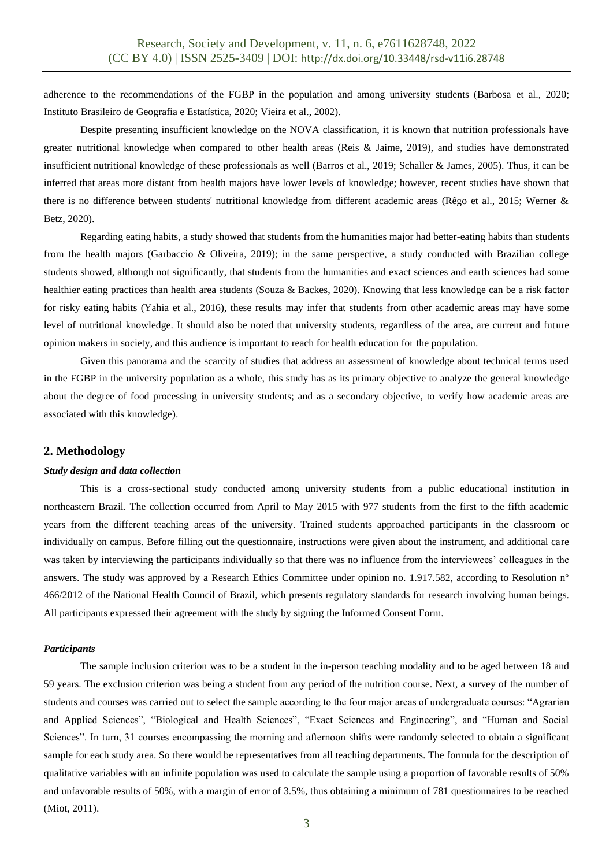adherence to the recommendations of the FGBP in the population and among university students (Barbosa et al., 2020; Instituto Brasileiro de Geografia e Estatística, 2020; Vieira et al., 2002).

Despite presenting insufficient knowledge on the NOVA classification, it is known that nutrition professionals have greater nutritional knowledge when compared to other health areas (Reis & Jaime, 2019), and studies have demonstrated insufficient nutritional knowledge of these professionals as well (Barros et al., 2019; Schaller & James, 2005). Thus, it can be inferred that areas more distant from health majors have lower levels of knowledge; however, recent studies have shown that there is no difference between students' nutritional knowledge from different academic areas (Rêgo et al., 2015; Werner & Betz, 2020).

Regarding eating habits, a study showed that students from the humanities major had better-eating habits than students from the health majors (Garbaccio & Oliveira, 2019); in the same perspective, a study conducted with Brazilian college students showed, although not significantly, that students from the humanities and exact sciences and earth sciences had some healthier eating practices than health area students (Souza & Backes, 2020). Knowing that less knowledge can be a risk factor for risky eating habits (Yahia et al., 2016), these results may infer that students from other academic areas may have some level of nutritional knowledge. It should also be noted that university students, regardless of the area, are current and future opinion makers in society, and this audience is important to reach for health education for the population.

Given this panorama and the scarcity of studies that address an assessment of knowledge about technical terms used in the FGBP in the university population as a whole, this study has as its primary objective to analyze the general knowledge about the degree of food processing in university students; and as a secondary objective, to verify how academic areas are associated with this knowledge).

# **2. Methodology**

#### *Study design and data collection*

This is a cross-sectional study conducted among university students from a public educational institution in northeastern Brazil. The collection occurred from April to May 2015 with 977 students from the first to the fifth academic years from the different teaching areas of the university. Trained students approached participants in the classroom or individually on campus. Before filling out the questionnaire, instructions were given about the instrument, and additional care was taken by interviewing the participants individually so that there was no influence from the interviewees' colleagues in the answers. The study was approved by a Research Ethics Committee under opinion no. 1.917.582, according to Resolution n° 466/2012 of the National Health Council of Brazil, which presents regulatory standards for research involving human beings. All participants expressed their agreement with the study by signing the Informed Consent Form.

## *Participants*

The sample inclusion criterion was to be a student in the in-person teaching modality and to be aged between 18 and 59 years. The exclusion criterion was being a student from any period of the nutrition course. Next, a survey of the number of students and courses was carried out to select the sample according to the four major areas of undergraduate courses: "Agrarian and Applied Sciences", "Biological and Health Sciences", "Exact Sciences and Engineering", and "Human and Social Sciences". In turn, 31 courses encompassing the morning and afternoon shifts were randomly selected to obtain a significant sample for each study area. So there would be representatives from all teaching departments. The formula for the description of qualitative variables with an infinite population was used to calculate the sample using a proportion of favorable results of 50% and unfavorable results of 50%, with a margin of error of 3.5%, thus obtaining a minimum of 781 questionnaires to be reached (Miot, 2011).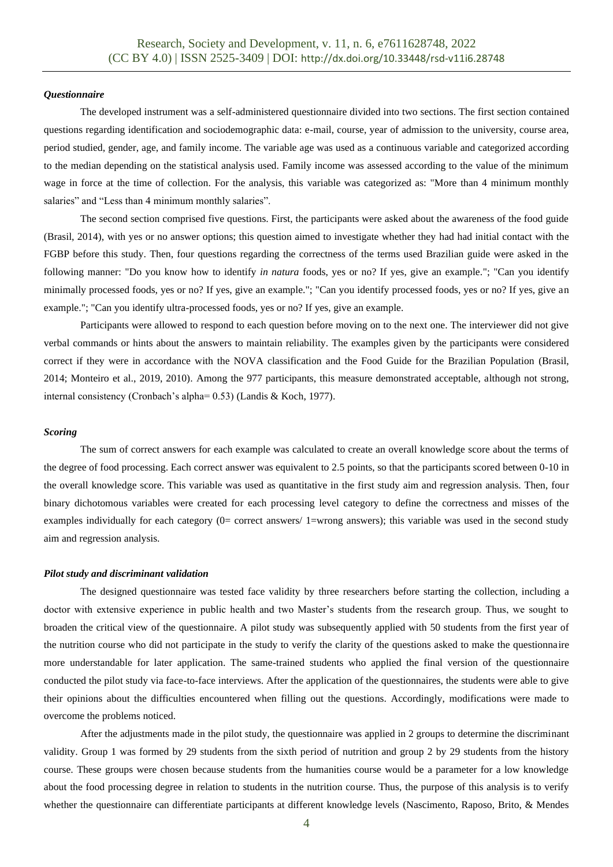## *Questionnaire*

The developed instrument was a self-administered questionnaire divided into two sections. The first section contained questions regarding identification and sociodemographic data: e-mail, course, year of admission to the university, course area, period studied, gender, age, and family income. The variable age was used as a continuous variable and categorized according to the median depending on the statistical analysis used. Family income was assessed according to the value of the minimum wage in force at the time of collection. For the analysis, this variable was categorized as: "More than 4 minimum monthly salaries" and "Less than 4 minimum monthly salaries".

The second section comprised five questions. First, the participants were asked about the awareness of the food guide (Brasil, 2014), with yes or no answer options; this question aimed to investigate whether they had had initial contact with the FGBP before this study. Then, four questions regarding the correctness of the terms used Brazilian guide were asked in the following manner: "Do you know how to identify *in natura* foods, yes or no? If yes, give an example."; "Can you identify minimally processed foods, yes or no? If yes, give an example."; "Can you identify processed foods, yes or no? If yes, give an example."; "Can you identify ultra-processed foods, yes or no? If yes, give an example.

Participants were allowed to respond to each question before moving on to the next one. The interviewer did not give verbal commands or hints about the answers to maintain reliability. The examples given by the participants were considered correct if they were in accordance with the NOVA classification and the Food Guide for the Brazilian Population (Brasil, 2014; Monteiro et al., 2019, 2010). Among the 977 participants, this measure demonstrated acceptable, although not strong, internal consistency (Cronbach's alpha= 0.53) (Landis & Koch, 1977).

#### *Scoring*

The sum of correct answers for each example was calculated to create an overall knowledge score about the terms of the degree of food processing. Each correct answer was equivalent to 2.5 points, so that the participants scored between 0-10 in the overall knowledge score. This variable was used as quantitative in the first study aim and regression analysis. Then, four binary dichotomous variables were created for each processing level category to define the correctness and misses of the examples individually for each category (0= correct answers/ 1=wrong answers); this variable was used in the second study aim and regression analysis.

#### *Pilot study and discriminant validation*

The designed questionnaire was tested face validity by three researchers before starting the collection, including a doctor with extensive experience in public health and two Master's students from the research group. Thus, we sought to broaden the critical view of the questionnaire. A pilot study was subsequently applied with 50 students from the first year of the nutrition course who did not participate in the study to verify the clarity of the questions asked to make the questionnaire more understandable for later application. The same-trained students who applied the final version of the questionnaire conducted the pilot study via face-to-face interviews. After the application of the questionnaires, the students were able to give their opinions about the difficulties encountered when filling out the questions. Accordingly, modifications were made to overcome the problems noticed.

After the adjustments made in the pilot study, the questionnaire was applied in 2 groups to determine the discriminant validity. Group 1 was formed by 29 students from the sixth period of nutrition and group 2 by 29 students from the history course. These groups were chosen because students from the humanities course would be a parameter for a low knowledge about the food processing degree in relation to students in the nutrition course. Thus, the purpose of this analysis is to verify whether the questionnaire can differentiate participants at different knowledge levels (Nascimento, Raposo, Brito, & Mendes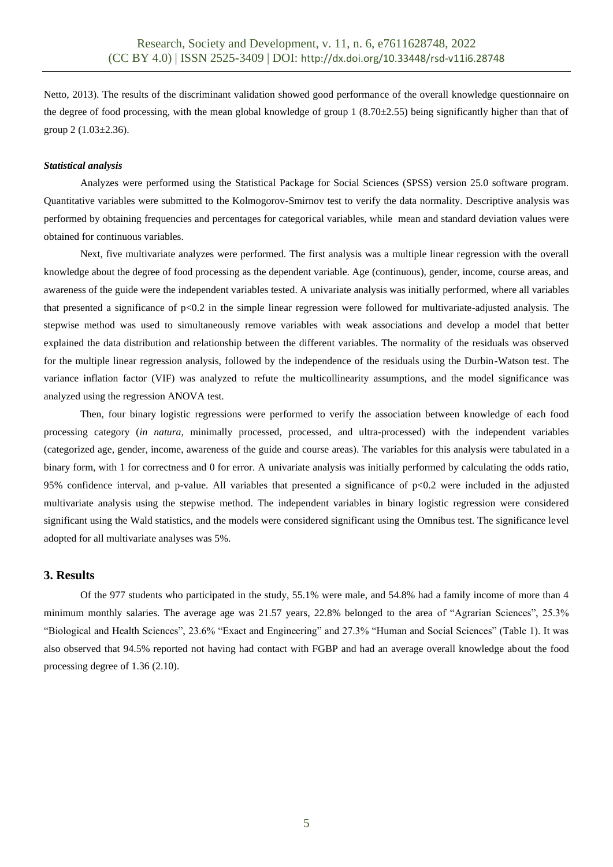Netto, 2013). The results of the discriminant validation showed good performance of the overall knowledge questionnaire on the degree of food processing, with the mean global knowledge of group 1 (8.70 $\pm$ 2.55) being significantly higher than that of group 2 (1.03±2.36).

### *Statistical analysis*

Analyzes were performed using the Statistical Package for Social Sciences (SPSS) version 25.0 software program. Quantitative variables were submitted to the Kolmogorov-Smirnov test to verify the data normality. Descriptive analysis was performed by obtaining frequencies and percentages for categorical variables, while mean and standard deviation values were obtained for continuous variables.

Next, five multivariate analyzes were performed. The first analysis was a multiple linear regression with the overall knowledge about the degree of food processing as the dependent variable. Age (continuous), gender, income, course areas, and awareness of the guide were the independent variables tested. A univariate analysis was initially performed, where all variables that presented a significance of p<0.2 in the simple linear regression were followed for multivariate-adjusted analysis. The stepwise method was used to simultaneously remove variables with weak associations and develop a model that better explained the data distribution and relationship between the different variables. The normality of the residuals was observed for the multiple linear regression analysis, followed by the independence of the residuals using the Durbin-Watson test. The variance inflation factor (VIF) was analyzed to refute the multicollinearity assumptions, and the model significance was analyzed using the regression ANOVA test.

Then, four binary logistic regressions were performed to verify the association between knowledge of each food processing category (*in natura*, minimally processed, processed, and ultra-processed) with the independent variables (categorized age, gender, income, awareness of the guide and course areas). The variables for this analysis were tabulated in a binary form, with 1 for correctness and 0 for error. A univariate analysis was initially performed by calculating the odds ratio, 95% confidence interval, and p-value. All variables that presented a significance of p<0.2 were included in the adjusted multivariate analysis using the stepwise method. The independent variables in binary logistic regression were considered significant using the Wald statistics, and the models were considered significant using the Omnibus test. The significance level adopted for all multivariate analyses was 5%.

## **3. Results**

Of the 977 students who participated in the study, 55.1% were male, and 54.8% had a family income of more than 4 minimum monthly salaries. The average age was 21.57 years, 22.8% belonged to the area of "Agrarian Sciences", 25.3% "Biological and Health Sciences", 23.6% "Exact and Engineering" and 27.3% "Human and Social Sciences" (Table 1). It was also observed that 94.5% reported not having had contact with FGBP and had an average overall knowledge about the food processing degree of 1.36 (2.10).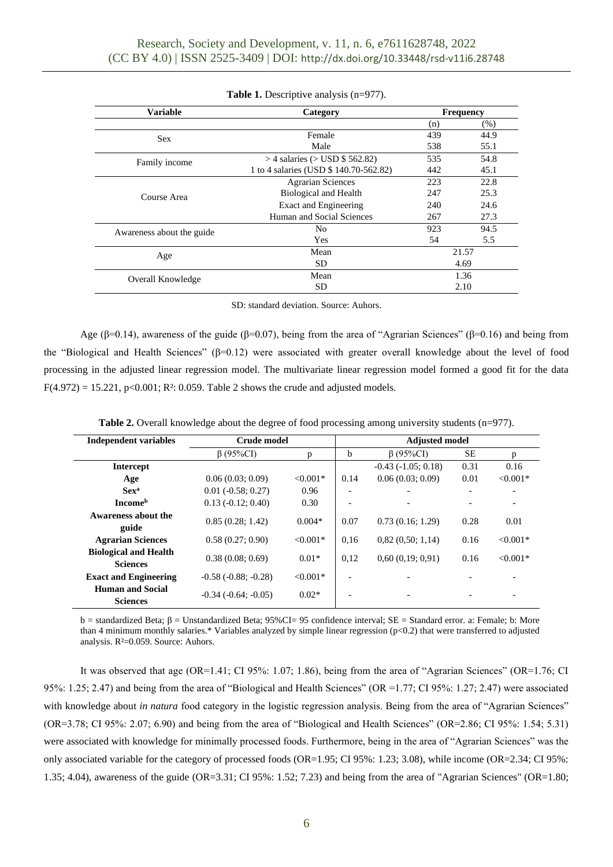| <b>Variable</b>           | Category                               | <b>Frequency</b> |      |  |
|---------------------------|----------------------------------------|------------------|------|--|
|                           |                                        | (n)              | (% ) |  |
| <b>Sex</b>                | Female                                 | 439              | 44.9 |  |
|                           | Male                                   | 538              | 55.1 |  |
| Family income             | $>$ 4 salaries ( $>$ USD \$ 562.82)    | 535              | 54.8 |  |
|                           | 1 to 4 salaries (USD \$ 140.70-562.82) | 442              | 45.1 |  |
| Course Area               | <b>Agrarian Sciences</b>               | 223              | 22.8 |  |
|                           | Biological and Health                  | 247              | 25.3 |  |
|                           | Exact and Engineering                  | 240              | 24.6 |  |
|                           | Human and Social Sciences              | 267              | 27.3 |  |
| Awareness about the guide | N <sub>0</sub>                         | 923              | 94.5 |  |
|                           | Yes                                    | 54               | 5.5  |  |
| Age                       | Mean                                   | 21.57            |      |  |
|                           | SD                                     | 4.69             |      |  |
| Overall Knowledge         | Mean                                   | 1.36             |      |  |
|                           | SD                                     | 2.10             |      |  |

**Table 1.** Descriptive analysis (n=977).

SD: standard deviation. Source: Auhors.

Age ( $\beta$ =0.14), awareness of the guide ( $\beta$ =0.07), being from the area of "Agrarian Sciences" ( $\beta$ =0.16) and being from the "Biological and Health Sciences" (β=0.12) were associated with greater overall knowledge about the level of food processing in the adjusted linear regression model. The multivariate linear regression model formed a good fit for the data  $F(4.972) = 15.221$ ,  $p<0.001$ ;  $R^2$ : 0.059. Table 2 shows the crude and adjusted models.

| <b>Independent variables</b>                    | Crude model              |            | <b>Adjusted model</b>    |                      |           |            |  |  |  |
|-------------------------------------------------|--------------------------|------------|--------------------------|----------------------|-----------|------------|--|--|--|
|                                                 | $\beta$ (95%CI)          | p          | b                        | $\beta$ (95%CI)      | <b>SE</b> | p          |  |  |  |
| Intercept                                       |                          |            |                          | $-0.43(-1.05; 0.18)$ | 0.31      | 0.16       |  |  |  |
| Age                                             | 0.06(0.03; 0.09)         | $< 0.001*$ | 0.14                     | 0.06(0.03; 0.09)     | 0.01      | $< 0.001*$ |  |  |  |
| <b>Sex<sup>a</sup></b>                          | $0.01$ ( $-0.58$ ; 0.27) | 0.96       |                          |                      |           |            |  |  |  |
| <b>Income</b> <sup>b</sup>                      | $0.13(-0.12; 0.40)$      | 0.30       |                          |                      |           |            |  |  |  |
| Awareness about the<br>guide                    | 0.85(0.28; 1.42)         | $0.004*$   | 0.07                     | 0.73(0.16; 1.29)     | 0.28      | 0.01       |  |  |  |
| <b>Agrarian Sciences</b>                        | 0.58(0.27; 0.90)         | $< 0.001*$ | 0.16                     | 0.82(0.50; 1.14)     | 0.16      | $< 0.001*$ |  |  |  |
| <b>Biological and Health</b><br><b>Sciences</b> | 0.38(0.08; 0.69)         | $0.01*$    | 0,12                     | 0.60(0.19; 0.91)     | 0.16      | $< 0.001*$ |  |  |  |
| <b>Exact and Engineering</b>                    | $-0.58$ $(-0.88; -0.28)$ | $< 0.001*$ | $\overline{\phantom{0}}$ |                      |           |            |  |  |  |
| <b>Human and Social</b><br><b>Sciences</b>      | $-0.34$ $(-0.64; -0.05)$ | $0.02*$    | $\overline{\phantom{0}}$ |                      |           |            |  |  |  |

b = standardized Beta; β = Unstandardized Beta; 95%CI= 95 confidence interval; SE = Standard error. a: Female; b: More than 4 minimum monthly salaries.\* Variables analyzed by simple linear regression  $(p<0.2)$  that were transferred to adjusted analysis. R²=0.059. Source: Auhors.

It was observed that age (OR=1.41; CI 95%: 1.07; 1.86), being from the area of "Agrarian Sciences" (OR=1.76; CI 95%: 1.25; 2.47) and being from the area of "Biological and Health Sciences" (OR =1.77; CI 95%: 1.27; 2.47) were associated with knowledge about *in natura* food category in the logistic regression analysis. Being from the area of "Agrarian Sciences" (OR=3.78; CI 95%: 2.07; 6.90) and being from the area of "Biological and Health Sciences" (OR=2.86; CI 95%: 1.54; 5.31) were associated with knowledge for minimally processed foods. Furthermore, being in the area of "Agrarian Sciences" was the only associated variable for the category of processed foods (OR=1.95; CI 95%: 1.23; 3.08), while income (OR=2.34; CI 95%: 1.35; 4.04), awareness of the guide (OR=3.31; CI 95%: 1.52; 7.23) and being from the area of "Agrarian Sciences" (OR=1.80;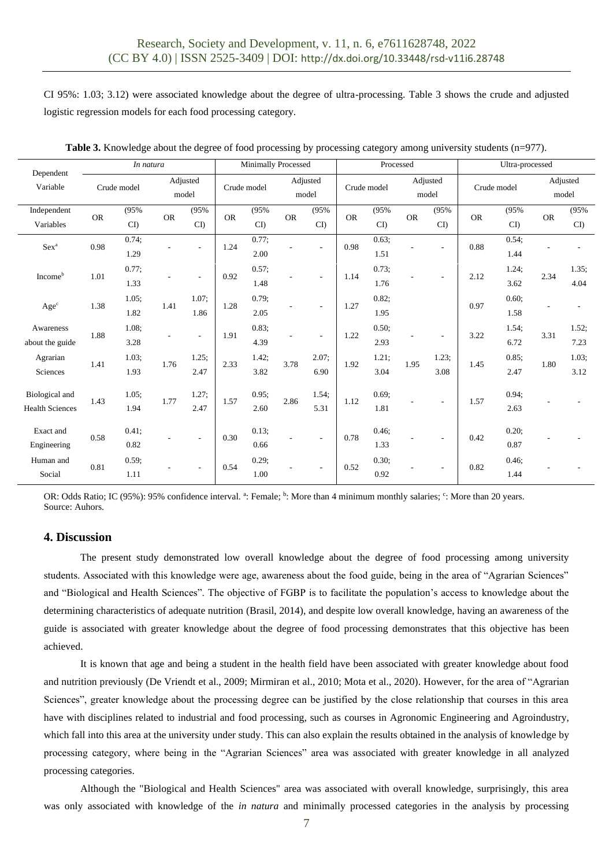CI 95%: 1.03; 3.12) were associated knowledge about the degree of ultra-processing. Table 3 shows the crude and adjusted logistic regression models for each food processing category.

| Dependent<br>Variable                    | In natura   |               |           |                   | <b>Minimally Processed</b> |                  |                   | Processed                |             |               |                   | Ultra-processed |             |                  |                   |               |
|------------------------------------------|-------------|---------------|-----------|-------------------|----------------------------|------------------|-------------------|--------------------------|-------------|---------------|-------------------|-----------------|-------------|------------------|-------------------|---------------|
|                                          | Crude model |               |           | Adjusted<br>model | Crude model                |                  | Adjusted<br>model |                          | Crude model |               | Adjusted<br>model |                 | Crude model |                  | Adjusted<br>model |               |
| Independent<br>Variables                 | ${\sf OR}$  | (95%<br>CD    | <b>OR</b> | (95%<br>CD        | <b>OR</b>                  | (95%<br>CD       | <b>OR</b>         | (95%<br>CD               | <b>OR</b>   | (95%<br>CD    | <b>OR</b>         | (95%<br>CD      | <b>OR</b>   | (95%<br>CD       | <b>OR</b>         | (95%<br>CD    |
| Sex <sup>a</sup>                         | 0.98        | 0.74;<br>1.29 |           |                   | 1.24                       | 0.77:<br>2.00    |                   |                          | 0.98        | 0.63;<br>1.51 |                   |                 | 0.88        | 0.54:<br>1.44    |                   |               |
| Income <sup>b</sup>                      | 1.01        | 0.77;<br>1.33 |           | $\sim$            | 0.92                       | 0.57;<br>1.48    |                   |                          | 1.14        | 0.73;<br>1.76 |                   |                 | 2.12        | 1.24;<br>3.62    | 2.34              | 1.35;<br>4.04 |
| $Age^c$                                  | 1.38        | 1.05:<br>1.82 | 1.41      | 1.07:<br>1.86     | 1.28                       | 0.79:<br>2.05    |                   |                          | 1.27        | 0.82:<br>1.95 |                   |                 | 0.97        | 0.60:<br>1.58    |                   |               |
| Awareness<br>about the guide             | 1.88        | 1.08;<br>3.28 |           |                   | 1.91                       | 0.83:<br>4.39    |                   |                          | 1.22        | 0.50;<br>2.93 |                   |                 | 3.22        | 1.54;<br>6.72    | 3.31              | 1.52;<br>7.23 |
| Agrarian<br>Sciences                     | 1.41        | 1.03;<br>1.93 | 1.76      | 1.25:<br>2.47     | 2.33                       | 1.42;<br>3.82    | 3.78              | 2.07;<br>6.90            | 1.92        | 1.21;<br>3.04 | 1.95              | 1.23;<br>3.08   | 1.45        | 0.85:<br>2.47    | 1.80              | 1.03;<br>3.12 |
| Biological and<br><b>Health Sciences</b> | 1.43        | 1.05;<br>1.94 | 1.77      | 1.27;<br>2.47     | 1.57                       | 0.95:<br>2.60    | 2.86              | 1.54;<br>5.31            | 1.12        | 0.69;<br>1.81 |                   |                 | 1.57        | 0.94:<br>2.63    |                   |               |
| Exact and<br>Engineering                 | 0.58        | 0.41:<br>0.82 |           | ٠                 | 0.30                       | $0.13$ ;<br>0.66 |                   | $\overline{\phantom{a}}$ | 0.78        | 0.46:<br>1.33 |                   |                 | 0.42        | $0.20$ ;<br>0.87 |                   |               |
| Human and<br>Social                      | 0.81        | 0.59;<br>1.11 |           |                   | 0.54                       | 0.29;<br>1.00    |                   |                          | 0.52        | 0.30;<br>0.92 |                   |                 | 0.82        | $0.46$ ;<br>1.44 |                   |               |

**Table 3.** Knowledge about the degree of food processing by processing category among university students (n=977).

OR: Odds Ratio; IC (95%): 95% confidence interval. <sup>a</sup>: Female; <sup>b</sup>: More than 4 minimum monthly salaries; <sup>c</sup>: More than 20 years. Source: Auhors.

# **4. Discussion**

The present study demonstrated low overall knowledge about the degree of food processing among university students. Associated with this knowledge were age, awareness about the food guide, being in the area of "Agrarian Sciences" and "Biological and Health Sciences". The objective of FGBP is to facilitate the population's access to knowledge about the determining characteristics of adequate nutrition (Brasil, 2014), and despite low overall knowledge, having an awareness of the guide is associated with greater knowledge about the degree of food processing demonstrates that this objective has been achieved.

It is known that age and being a student in the health field have been associated with greater knowledge about food and nutrition previously (De Vriendt et al., 2009; Mirmiran et al., 2010; Mota et al., 2020). However, for the area of "Agrarian Sciences", greater knowledge about the processing degree can be justified by the close relationship that courses in this area have with disciplines related to industrial and food processing, such as courses in Agronomic Engineering and Agroindustry, which fall into this area at the university under study. This can also explain the results obtained in the analysis of knowledge by processing category, where being in the "Agrarian Sciences" area was associated with greater knowledge in all analyzed processing categories.

Although the "Biological and Health Sciences" area was associated with overall knowledge, surprisingly, this area was only associated with knowledge of the *in natura* and minimally processed categories in the analysis by processing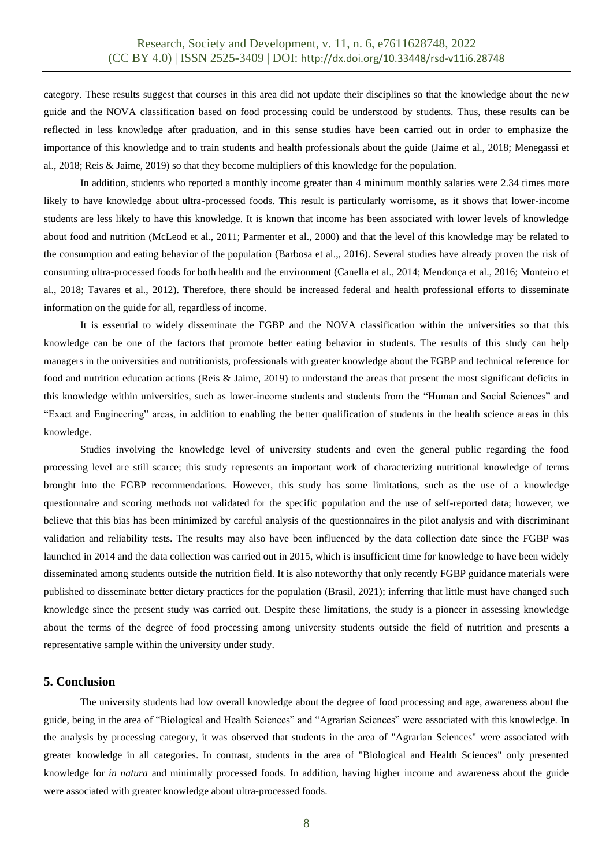category. These results suggest that courses in this area did not update their disciplines so that the knowledge about the new guide and the NOVA classification based on food processing could be understood by students. Thus, these results can be reflected in less knowledge after graduation, and in this sense studies have been carried out in order to emphasize the importance of this knowledge and to train students and health professionals about the guide (Jaime et al., 2018; Menegassi et al., 2018; Reis & Jaime, 2019) so that they become multipliers of this knowledge for the population.

In addition, students who reported a monthly income greater than 4 minimum monthly salaries were 2.34 times more likely to have knowledge about ultra-processed foods. This result is particularly worrisome, as it shows that lower-income students are less likely to have this knowledge. It is known that income has been associated with lower levels of knowledge about food and nutrition (McLeod et al., 2011; Parmenter et al., 2000) and that the level of this knowledge may be related to the consumption and eating behavior of the population (Barbosa et al.,, 2016). Several studies have already proven the risk of consuming ultra-processed foods for both health and the environment (Canella et al., 2014; Mendonça et al., 2016; Monteiro et al., 2018; Tavares et al., 2012). Therefore, there should be increased federal and health professional efforts to disseminate information on the guide for all, regardless of income.

It is essential to widely disseminate the FGBP and the NOVA classification within the universities so that this knowledge can be one of the factors that promote better eating behavior in students. The results of this study can help managers in the universities and nutritionists, professionals with greater knowledge about the FGBP and technical reference for food and nutrition education actions (Reis & Jaime, 2019) to understand the areas that present the most significant deficits in this knowledge within universities, such as lower-income students and students from the "Human and Social Sciences" and "Exact and Engineering" areas, in addition to enabling the better qualification of students in the health science areas in this knowledge.

Studies involving the knowledge level of university students and even the general public regarding the food processing level are still scarce; this study represents an important work of characterizing nutritional knowledge of terms brought into the FGBP recommendations. However, this study has some limitations, such as the use of a knowledge questionnaire and scoring methods not validated for the specific population and the use of self-reported data; however, we believe that this bias has been minimized by careful analysis of the questionnaires in the pilot analysis and with discriminant validation and reliability tests. The results may also have been influenced by the data collection date since the FGBP was launched in 2014 and the data collection was carried out in 2015, which is insufficient time for knowledge to have been widely disseminated among students outside the nutrition field. It is also noteworthy that only recently FGBP guidance materials were published to disseminate better dietary practices for the population (Brasil, 2021); inferring that little must have changed such knowledge since the present study was carried out. Despite these limitations, the study is a pioneer in assessing knowledge about the terms of the degree of food processing among university students outside the field of nutrition and presents a representative sample within the university under study.

# **5. Conclusion**

The university students had low overall knowledge about the degree of food processing and age, awareness about the guide, being in the area of "Biological and Health Sciences" and "Agrarian Sciences" were associated with this knowledge. In the analysis by processing category, it was observed that students in the area of "Agrarian Sciences" were associated with greater knowledge in all categories. In contrast, students in the area of "Biological and Health Sciences" only presented knowledge for *in natura* and minimally processed foods. In addition, having higher income and awareness about the guide were associated with greater knowledge about ultra-processed foods.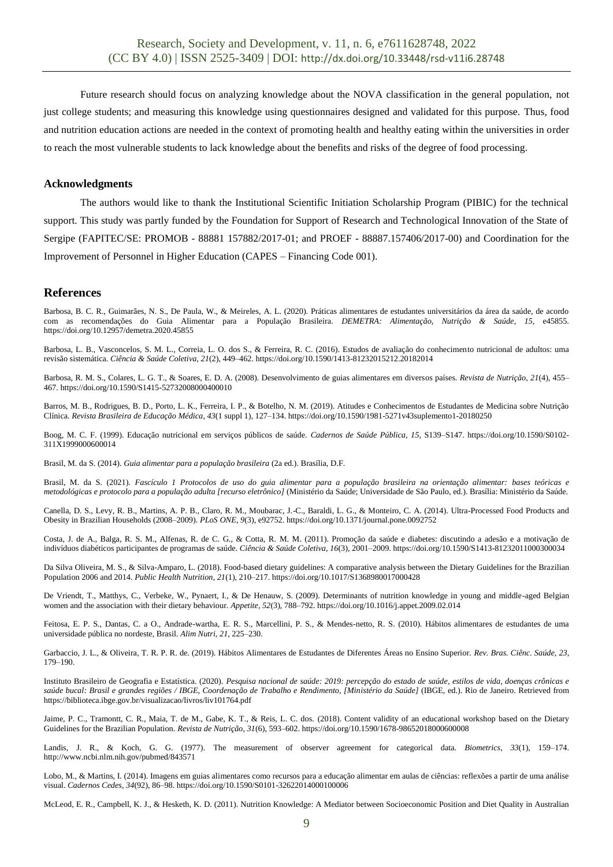Future research should focus on analyzing knowledge about the NOVA classification in the general population, not just college students; and measuring this knowledge using questionnaires designed and validated for this purpose. Thus, food and nutrition education actions are needed in the context of promoting health and healthy eating within the universities in order to reach the most vulnerable students to lack knowledge about the benefits and risks of the degree of food processing.

# **Acknowledgments**

The authors would like to thank the Institutional Scientific Initiation Scholarship Program (PIBIC) for the technical support. This study was partly funded by the Foundation for Support of Research and Technological Innovation of the State of Sergipe (FAPITEC/SE: PROMOB - 88881 157882/2017-01; and PROEF - 88887.157406/2017-00) and Coordination for the Improvement of Personnel in Higher Education (CAPES – Financing Code 001).

# **References**

Barbosa, B. C. R., Guimarães, N. S., De Paula, W., & Meireles, A. L. (2020). Práticas alimentares de estudantes universitários da área da saúde, de acordo com as recomendações do Guia Alimentar para a População Brasileira. *DEMETRA: Alimentação, Nutrição & Saúde*, *15*, e45855. https://doi.org/10.12957/demetra.2020.45855

Barbosa, L. B., Vasconcelos, S. M. L., Correia, L. O. dos S., & Ferreira, R. C. (2016). Estudos de avaliação do conhecimento nutricional de adultos: uma revisão sistemática. *Ciência & Saúde Coletiva*, *21*(2), 449–462. https://doi.org/10.1590/1413-81232015212.20182014

Barbosa, R. M. S., Colares, L. G. T., & Soares, E. D. A. (2008). Desenvolvimento de guias alimentares em diversos países. *Revista de Nutrição*, *21*(4), 455– 467. https://doi.org/10.1590/S1415-52732008000400010

Barros, M. B., Rodrigues, B. D., Porto, L. K., Ferreira, I. P., & Botelho, N. M. (2019). Atitudes e Conhecimentos de Estudantes de Medicina sobre Nutrição Clínica. *Revista Brasileira de Educação Médica*, *43*(1 suppl 1), 127–134. https://doi.org/10.1590/1981-5271v43suplemento1-20180250

Boog, M. C. F. (1999). Educação nutricional em serviços públicos de saúde. *Cadernos de Saúde Pública*, *15*, S139–S147. https://doi.org/10.1590/S0102- 311X1999000600014

Brasil, M. da S. (2014). *Guia alimentar para a população brasileira* (2a ed.). Brasília, D.F.

Brasil, M. da S. (2021). *Fascículo 1 Protocolos de uso do guia alimentar para a população brasileira na orientação alimentar: bases teóricas e metodológicas e protocolo para a população adulta [recurso eletrônico]* (Ministério da Saúde; Universidade de São Paulo, ed.). Brasília: Ministério da Saúde.

Canella, D. S., Levy, R. B., Martins, A. P. B., Claro, R. M., Moubarac, J.-C., Baraldi, L. G., & Monteiro, C. A. (2014). Ultra-Processed Food Products and Obesity in Brazilian Households (2008–2009). *PLoS ONE*, *9*(3), e92752. https://doi.org/10.1371/journal.pone.0092752

Costa, J. de A., Balga, R. S. M., Alfenas, R. de C. G., & Cotta, R. M. M. (2011). Promoção da saúde e diabetes: discutindo a adesão e a motivação de indivíduos diabéticos participantes de programas de saúde. *Ciência & Saúde Coletiva*, *16*(3), 2001–2009. https://doi.org/10.1590/S1413-81232011000300034

Da Silva Oliveira, M. S., & Silva-Amparo, L. (2018). Food-based dietary guidelines: A comparative analysis between the Dietary Guidelines for the Brazilian Population 2006 and 2014. *Public Health Nutrition*, *21*(1), 210–217. https://doi.org/10.1017/S1368980017000428

De Vriendt, T., Matthys, C., Verbeke, W., Pynaert, I., & De Henauw, S. (2009). Determinants of nutrition knowledge in young and middle-aged Belgian women and the association with their dietary behaviour. *Appetite*, *52*(3), 788–792. https://doi.org/10.1016/j.appet.2009.02.014

Feitosa, E. P. S., Dantas, C. a O., Andrade-wartha, E. R. S., Marcellini, P. S., & Mendes-netto, R. S. (2010). Hábitos alimentares de estudantes de uma universidade pública no nordeste, Brasil. *Alim Nutri*, *21*, 225–230.

Garbaccio, J. L., & Oliveira, T. R. P. R. de. (2019). Hábitos Alimentares de Estudantes de Diferentes Áreas no Ensino Superior. *Rev. Bras. Ciênc. Saúde*, *23*, 179–190.

Instituto Brasileiro de Geografia e Estatística. (2020). *Pesquisa nacional de saúde: 2019: percepção do estado de saúde, estilos de vida, doenças crônicas e saúde bucal: Brasil e grandes regiões / IBGE, Coordenação de Trabalho e Rendimento, [Ministério da Saúde]* (IBGE, ed.). Rio de Janeiro. Retrieved from https://biblioteca.ibge.gov.br/visualizacao/livros/liv101764.pdf

Jaime, P. C., Tramontt, C. R., Maia, T. de M., Gabe, K. T., & Reis, L. C. dos. (2018). Content validity of an educational workshop based on the Dietary Guidelines for the Brazilian Population. *Revista de Nutrição*, *31*(6), 593–602. https://doi.org/10.1590/1678-98652018000600008

Landis, J. R., & Koch, G. G. (1977). The measurement of observer agreement for categorical data. *Biometrics*, *33*(1), 159–174. http://www.ncbi.nlm.nih.gov/pubmed/843571

Lobo, M., & Martins, I. (2014). Imagens em guias alimentares como recursos para a educação alimentar em aulas de ciências: reflexões a partir de uma análise visual. *Cadernos Cedes*, *34*(92), 86–98. https://doi.org/10.1590/S0101-32622014000100006

McLeod, E. R., Campbell, K. J., & Hesketh, K. D. (2011). Nutrition Knowledge: A Mediator between Socioeconomic Position and Diet Quality in Australian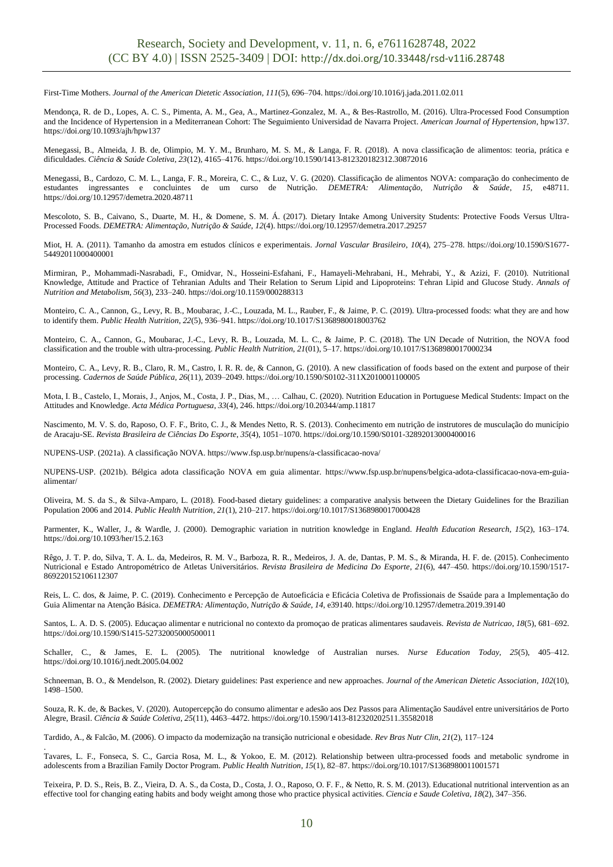First-Time Mothers. *Journal of the American Dietetic Association*, *111*(5), 696–704. https://doi.org/10.1016/j.jada.2011.02.011

Mendonça, R. de D., Lopes, A. C. S., Pimenta, A. M., Gea, A., Martinez-Gonzalez, M. A., & Bes-Rastrollo, M. (2016). Ultra-Processed Food Consumption and the Incidence of Hypertension in a Mediterranean Cohort: The Seguimiento Universidad de Navarra Project. *American Journal of Hypertension*, hpw137. https://doi.org/10.1093/ajh/hpw137

Menegassi, B., Almeida, J. B. de, Olimpio, M. Y. M., Brunharo, M. S. M., & Langa, F. R. (2018). A nova classificação de alimentos: teoria, prática e dificuldades. *Ciência & Saúde Coletiva*, *23*(12), 4165–4176. https://doi.org/10.1590/1413-812320182312.30872016

Menegassi, B., Cardozo, C. M. L., Langa, F. R., Moreira, C. C., & Luz, V. G. (2020). Classificação de alimentos NOVA: comparação do conhecimento de estudantes ingressantes e concluintes de um curso de Nutrição. *DEMETRA: Alimentação, Nutrição & Saúde*, *15*, e48711. https://doi.org/10.12957/demetra.2020.48711

Mescoloto, S. B., Caivano, S., Duarte, M. H., & Domene, S. M. Á. (2017). Dietary Intake Among University Students: Protective Foods Versus Ultra-Processed Foods. *DEMETRA: Alimentação, Nutrição & Saúde*, *12*(4). https://doi.org/10.12957/demetra.2017.29257

Miot, H. A. (2011). Tamanho da amostra em estudos clínicos e experimentais. *Jornal Vascular Brasileiro*, *10*(4), 275–278. https://doi.org/10.1590/S1677- 54492011000400001

Mirmiran, P., Mohammadi-Nasrabadi, F., Omidvar, N., Hosseini-Esfahani, F., Hamayeli-Mehrabani, H., Mehrabi, Y., & Azizi, F. (2010). Nutritional Knowledge, Attitude and Practice of Tehranian Adults and Their Relation to Serum Lipid and Lipoproteins: Tehran Lipid and Glucose Study. *Annals of Nutrition and Metabolism*, *56*(3), 233–240. https://doi.org/10.1159/000288313

Monteiro, C. A., Cannon, G., Levy, R. B., Moubarac, J.-C., Louzada, M. L., Rauber, F., & Jaime, P. C. (2019). Ultra-processed foods: what they are and how to identify them. *Public Health Nutrition*, *22*(5), 936–941. https://doi.org/10.1017/S1368980018003762

Monteiro, C. A., Cannon, G., Moubarac, J.-C., Levy, R. B., Louzada, M. L. C., & Jaime, P. C. (2018). The UN Decade of Nutrition, the NOVA food classification and the trouble with ultra-processing. *Public Health Nutrition*, *21*(01), 5–17. https://doi.org/10.1017/S1368980017000234

Monteiro, C. A., Levy, R. B., Claro, R. M., Castro, I. R. R. de, & Cannon, G. (2010). A new classification of foods based on the extent and purpose of their processing. *Cadernos de Saúde Pública*, *26*(11), 2039–2049. https://doi.org/10.1590/S0102-311X2010001100005

Mota, I. B., Castelo, I., Morais, J., Anjos, M., Costa, J. P., Dias, M., … Calhau, C. (2020). Nutrition Education in Portuguese Medical Students: Impact on the Attitudes and Knowledge. *Acta Médica Portuguesa*, *33*(4), 246. https://doi.org/10.20344/amp.11817

Nascimento, M. V. S. do, Raposo, O. F. F., Brito, C. J., & Mendes Netto, R. S. (2013). Conhecimento em nutrição de instrutores de musculação do município de Aracaju-SE. *Revista Brasileira de Ciências Do Esporte*, *35*(4), 1051–1070. https://doi.org/10.1590/S0101-32892013000400016

NUPENS-USP. (2021a). A classificação NOVA. https://www.fsp.usp.br/nupens/a-classificacao-nova/

NUPENS-USP. (2021b). Bélgica adota classificação NOVA em guia alimentar. https://www.fsp.usp.br/nupens/belgica-adota-classificacao-nova-em-guiaalimentar/

Oliveira, M. S. da S., & Silva-Amparo, L. (2018). Food-based dietary guidelines: a comparative analysis between the Dietary Guidelines for the Brazilian Population 2006 and 2014. *Public Health Nutrition*, *21*(1), 210–217. https://doi.org/10.1017/S1368980017000428

Parmenter, K., Waller, J., & Wardle, J. (2000). Demographic variation in nutrition knowledge in England. *Health Education Research*, *15*(2), 163–174. https://doi.org/10.1093/her/15.2.163

Rêgo, J. T. P. do, Silva, T. A. L. da, Medeiros, R. M. V., Barboza, R. R., Medeiros, J. A. de, Dantas, P. M. S., & Miranda, H. F. de. (2015). Conhecimento Nutricional e Estado Antropométrico de Atletas Universitários. *Revista Brasileira de Medicina Do Esporte*, *21*(6), 447–450. https://doi.org/10.1590/1517- 869220152106112307

Reis, L. C. dos, & Jaime, P. C. (2019). Conhecimento e Percepção de Autoeficácia e Eficácia Coletiva de Profissionais de Ssaúde para a Implementação do Guia Alimentar na Atenção Básica. *DEMETRA: Alimentação, Nutrição & Saúde*, *14*, e39140. https://doi.org/10.12957/demetra.2019.39140

Santos, L. A. D. S. (2005). Educaçao alimentar e nutricional no contexto da promoçao de praticas alimentares saudaveis. *Revista de Nutricao*, *18*(5), 681–692. https://doi.org/10.1590/S1415-52732005000500011

Schaller, C., & James, E. L. (2005). The nutritional knowledge of Australian nurses. *Nurse Education Today*, *25*(5), 405–412. https://doi.org/10.1016/j.nedt.2005.04.002

Schneeman, B. O., & Mendelson, R. (2002). Dietary guidelines: Past experience and new approaches. *Journal of the American Dietetic Association*, *102*(10), 1498–1500.

Souza, R. K. de, & Backes, V. (2020). Autopercepção do consumo alimentar e adesão aos Dez Passos para Alimentação Saudável entre universitários de Porto Alegre, Brasil. *Ciência & Saúde Coletiva*, *25*(11), 4463–4472. https://doi.org/10.1590/1413-812320202511.35582018

Tardido, A., & Falcão, M. (2006). O impacto da modernização na transição nutricional e obesidade. *Rev Bras Nutr Clin*, *21*(2), 117–124

.

Tavares, L. F., Fonseca, S. C., Garcia Rosa, M. L., & Yokoo, E. M. (2012). Relationship between ultra-processed foods and metabolic syndrome in adolescents from a Brazilian Family Doctor Program. *Public Health Nutrition*, *15*(1), 82–87. https://doi.org/10.1017/S1368980011001571

Teixeira, P. D. S., Reis, B. Z., Vieira, D. A. S., da Costa, D., Costa, J. O., Raposo, O. F. F., & Netto, R. S. M. (2013). Educational nutritional intervention as an effective tool for changing eating habits and body weight among those who practice physical activities. *Ciencia e Saude Coletiva*, *18*(2), 347–356.